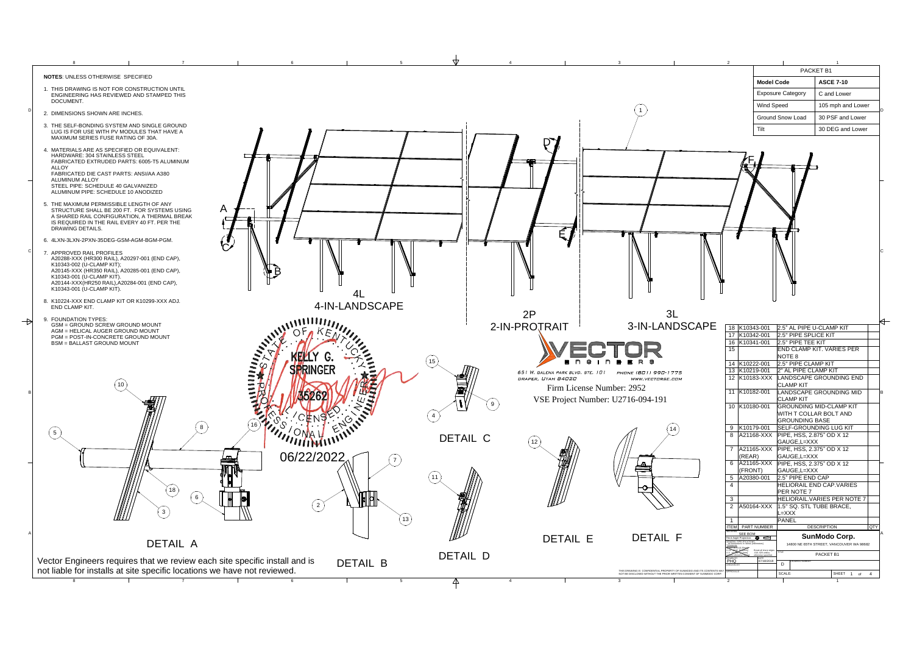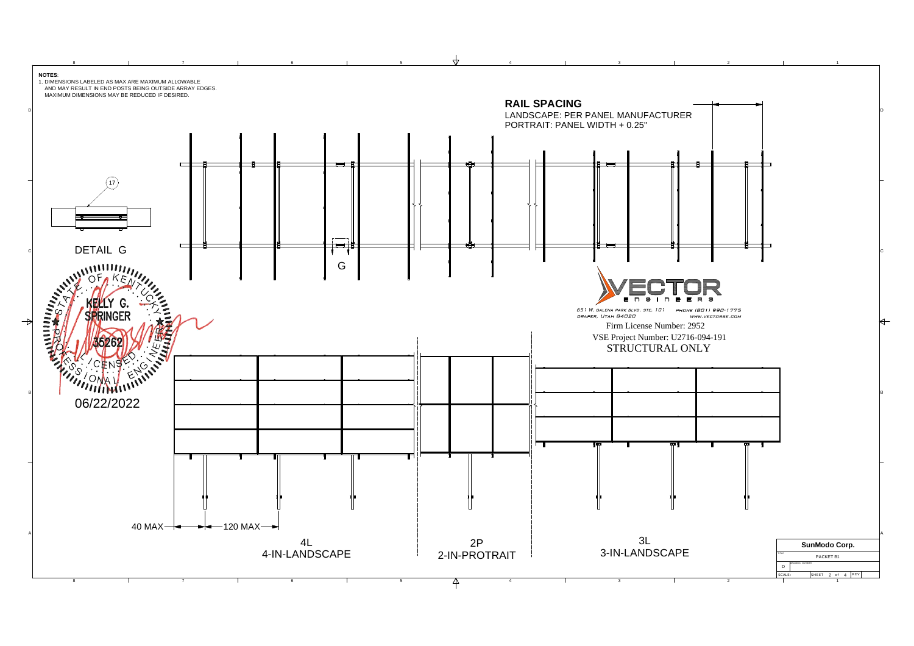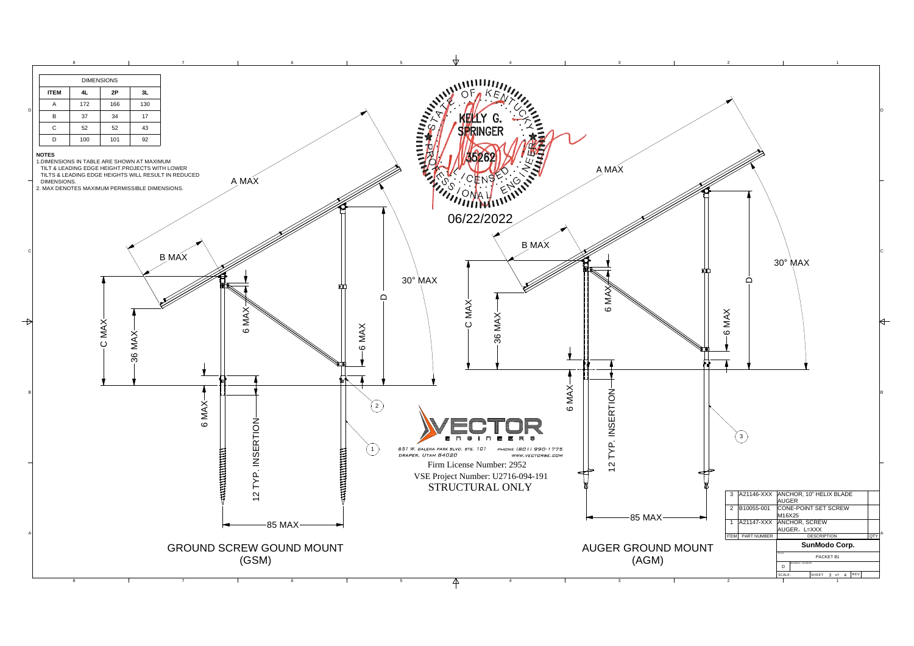